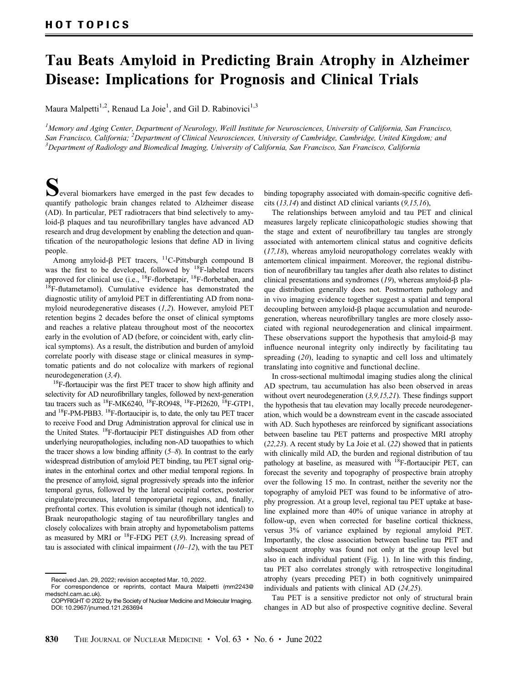## Tau Beats Amyloid in Predicting Brain Atrophy in Alzheimer Disease: Implications for Prognosis and Clinical Trials

Maura Malpetti<sup>1,2</sup>, Renaud La Joie<sup>1</sup>, and Gil D. Rabinovici<sup>1,3</sup>

 $^l$ Memory and Aging Center, Department of Neurology, Weill Institute for Neurosciences, University of California, San Francisco, San Francisco, California; <sup>2</sup>Department of Clinical Neurosciences, University of Cambridge, Cambridge, United Kingdom; and<br><sup>3</sup>Department of Radiology and Biomedical Imaging, University of California, San Francisco, San Fr  $\beta$ Department of Radiology and Biomedical Imaging, University of California, San Francisco, San Francisco, California

 $\sum$  everal biomarkers have emerged in the past few decades to quantify pathologic brain changes related to Alzheimer disease (AD). In particular, PET radiotracers that bind selectively to amyloid- $\beta$  plaques and tau neurofibrillary tangles have advanced AD research and drug development by enabling the detection and quantification of the neuropathologic lesions that define AD in living people.

Among amyloid- $\beta$  PET tracers, <sup>11</sup>C-Pittsburgh compound B was the first to be developed, followed by <sup>18</sup>F-labeled tracers approved for clinical use (i.e.,  $^{18}$ F-florbetapir,  $^{18}$ F-florbetaben, and 18F-flutametamol). Cumulative evidence has demonstrated the diagnostic utility of amyloid PET in differentiating AD from nonamyloid neurodegenerative diseases ([1,2](#page-2-0)). However, amyloid PET retention begins 2 decades before the onset of clinical symptoms and reaches a relative plateau throughout most of the neocortex early in the evolution of AD (before, or coincident with, early clinical symptoms). As a result, the distribution and burden of amyloid correlate poorly with disease stage or clinical measures in symptomatic patients and do not colocalize with markers of regional neurodegeneration ([3,4](#page-2-0)).

<sup>18</sup>F-flortaucipir was the first PET tracer to show high affinity and selectivity for AD neurofibrillary tangles, followed by next-generation tau tracers such as 18F-MK6240, 18F-RO948, 18F-PI2620, 18F-GTP1, and 18F-PM-PBB3. 18F-flortaucipir is, to date, the only tau PET tracer to receive Food and Drug Administration approval for clinical use in the United States. 18F-flortaucipir PET distinguishes AD from other underlying neuropathologies, including non-AD tauopathies to which the tracer shows a low binding affinity  $(5-8)$  $(5-8)$  $(5-8)$  $(5-8)$  $(5-8)$ . In contrast to the early widespread distribution of amyloid PET binding, tau PET signal originates in the entorhinal cortex and other medial temporal regions. In the presence of amyloid, signal progressively spreads into the inferior temporal gyrus, followed by the lateral occipital cortex, posterior cingulate/precuneus, lateral temporoparietal regions, and, finally, prefrontal cortex. This evolution is similar (though not identical) to Braak neuropathologic staging of tau neurofibrillary tangles and closely colocalizes with brain atrophy and hypometabolism patterns as measured by MRI or  $^{18}$ F-FDG PET ([3,9](#page-2-0)). Increasing spread of tau is associated with clinical impairment  $(10-12)$  $(10-12)$  $(10-12)$  $(10-12)$  $(10-12)$ , with the tau PET

binding topography associated with domain-specific cognitive deficits  $(13,14)$  $(13,14)$  $(13,14)$  and distinct AD clinical variants  $(9,15,16)$  $(9,15,16)$  $(9,15,16)$ ,

The relationships between amyloid and tau PET and clinical measures largely replicate clinicopathologic studies showing that the stage and extent of neurofibrillary tau tangles are strongly associated with antemortem clinical status and cognitive deficits  $(17,18)$  $(17,18)$  $(17,18)$ , whereas amyloid neuropathology correlates weakly with antemortem clinical impairment. Moreover, the regional distribution of neurofibrillary tau tangles after death also relates to distinct clinical presentations and syndromes  $(19)$  $(19)$  $(19)$ , whereas amyloid- $\beta$  plaque distribution generally does not. Postmortem pathology and in vivo imaging evidence together suggest a spatial and temporal decoupling between amyloid- $\beta$  plaque accumulation and neurodegeneration, whereas neurofibrillary tangles are more closely associated with regional neurodegeneration and clinical impairment. These observations support the hypothesis that amyloid- $\beta$  may influence neuronal integrity only indirectly by facilitating tau spreading ([20](#page-2-0)), leading to synaptic and cell loss and ultimately translating into cognitive and functional decline.

In cross-sectional multimodal imaging studies along the clinical AD spectrum, tau accumulation has also been observed in areas without overt neurodegeneration ([3](#page-2-0),[9,15,21](#page-2-0)). These findings support the hypothesis that tau elevation may locally precede neurodegeneration, which would be a downstream event in the cascade associated with AD. Such hypotheses are reinforced by significant associations between baseline tau PET patterns and prospective MRI atrophy ([22](#page-2-0),[23](#page-2-0)). A recent study by La Joie et al. ([22](#page-2-0)) showed that in patients with clinically mild AD, the burden and regional distribution of tau pathology at baseline, as measured with <sup>18</sup>F-flortaucipir PET, can forecast the severity and topography of prospective brain atrophy over the following 15 mo. In contrast, neither the severity nor the topography of amyloid PET was found to be informative of atrophy progression. At a group level, regional tau PET uptake at baseline explained more than 40% of unique variance in atrophy at follow-up, even when corrected for baseline cortical thickness, versus 3% of variance explained by regional amyloid PET. Importantly, the close association between baseline tau PET and subsequent atrophy was found not only at the group level but also in each individual patient ([Fig. 1\)](#page-1-0). In line with this finding, tau PET also correlates strongly with retrospective longitudinal atrophy (years preceding PET) in both cognitively unimpaired individuals and patients with clinical AD ([24,25](#page-2-0)).

Tau PET is a sensitive predictor not only of structural brain changes in AD but also of prospective cognitive decline. Several

Received Jan. 29, 2022; revision accepted Mar. 10, 2022.

For correspondence or reprints, contact Maura Malpetti ([mm2243@](mailto:mm2243@medschl.cam.ac.uk) [medschl.cam.ac.uk\)](mailto:mm2243@medschl.cam.ac.uk).

COPYRIGHT © 2022 by the Society of Nuclear Medicine and Molecular Imaging. DOI: [10.2967/jnumed.121.263694](https://doi.org/10.2967/jnumed.121.263694)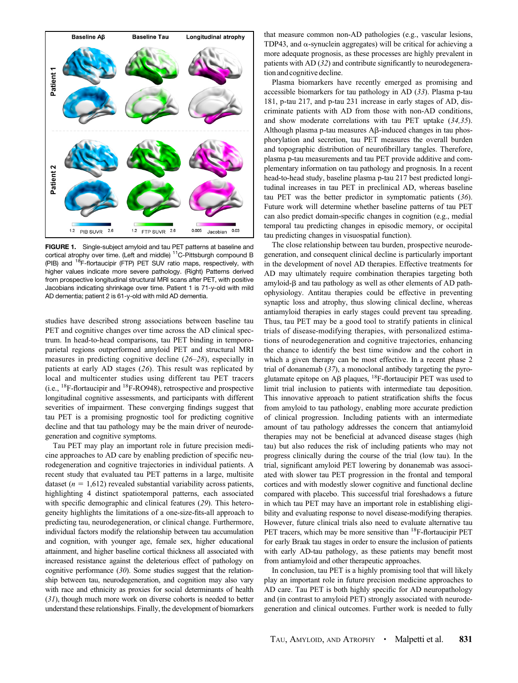<span id="page-1-0"></span>

FIGURE 1. Single-subject amyloid and tau PET patterns at baseline and cortical atrophy over time. (Left and middle) <sup>11</sup>C-Pittsburgh compound B (PIB) and <sup>18</sup>F-flortaucipir (FTP) PET SUV ratio maps, respectively, with higher values indicate more severe pathology. (Right) Patterns derived from prospective longitudinal structural MRI scans after PET, with positive Jacobians indicating shrinkage over time. Patient 1 is 71-y-old with mild AD dementia; patient 2 is 61-y-old with mild AD dementia.

studies have described strong associations between baseline tau PET and cognitive changes over time across the AD clinical spectrum. In head-to-head comparisons, tau PET binding in temporoparietal regions outperformed amyloid PET and structural MRI measures in predicting cognitive decline ([26](#page-2-0)–[28](#page-2-0)), especially in patients at early AD stages ([26](#page-2-0)). This result was replicated by local and multicenter studies using different tau PET tracers (i.e., 18F-flortaucipir and 18F-RO948), retrospective and prospective longitudinal cognitive assessments, and participants with different severities of impairment. These converging findings suggest that tau PET is a promising prognostic tool for predicting cognitive decline and that tau pathology may be the main driver of neurodegeneration and cognitive symptoms.

Tau PET may play an important role in future precision medicine approaches to AD care by enabling prediction of specific neurodegeneration and cognitive trajectories in individual patients. A recent study that evaluated tau PET patterns in a large, multisite dataset ( $n = 1,612$ ) revealed substantial variability across patients, highlighting 4 distinct spatiotemporal patterns, each associated with specific demographic and clinical features ([29](#page-2-0)). This heterogeneity highlights the limitations of a one-size-fits-all approach to predicting tau, neurodegeneration, or clinical change. Furthermore, individual factors modify the relationship between tau accumulation and cognition, with younger age, female sex, higher educational attainment, and higher baseline cortical thickness all associated with increased resistance against the deleterious effect of pathology on cognitive performance ([30](#page-2-0)). Some studies suggest that the relationship between tau, neurodegeneration, and cognition may also vary with race and ethnicity as proxies for social determinants of health ([31](#page-2-0)), though much more work on diverse cohorts is needed to better understand these relationships. Finally, the development of biomarkers that measure common non-AD pathologies (e.g., vascular lesions, TDP43, and  $\alpha$ -synuclein aggregates) will be critical for achieving a more adequate prognosis, as these processes are highly prevalent in patients with AD ([32](#page-2-0)) and contribute significantly to neurodegeneration and cognitive decline.

Plasma biomarkers have recently emerged as promising and accessible biomarkers for tau pathology in AD ([33](#page-2-0)). Plasma p-tau 181, p-tau 217, and p-tau 231 increase in early stages of AD, discriminate patients with AD from those with non-AD conditions, and show moderate correlations with tau PET uptake ([34,35](#page-2-0)). Although plasma p-tau measures A<sub>B</sub>-induced changes in tau phosphorylation and secretion, tau PET measures the overall burden and topographic distribution of neurofibrillary tangles. Therefore, plasma p-tau measurements and tau PET provide additive and complementary information on tau pathology and prognosis. In a recent head-to-head study, baseline plasma p-tau 217 best predicted longitudinal increases in tau PET in preclinical AD, whereas baseline tau PET was the better predictor in symptomatic patients ([36](#page-2-0)). Future work will determine whether baseline patterns of tau PET can also predict domain-specific changes in cognition (e.g., medial temporal tau predicting changes in episodic memory, or occipital tau predicting changes in visuospatial function).

The close relationship between tau burden, prospective neurodegeneration, and consequent clinical decline is particularly important in the development of novel AD therapies. Effective treatments for AD may ultimately require combination therapies targeting both amyloid- $\beta$  and tau pathology as well as other elements of AD pathophysiology. Antitau therapies could be effective in preventing synaptic loss and atrophy, thus slowing clinical decline, whereas antiamyloid therapies in early stages could prevent tau spreading. Thus, tau PET may be a good tool to stratify patients in clinical trials of disease-modifying therapies, with personalized estimations of neurodegeneration and cognitive trajectories, enhancing the chance to identify the best time window and the cohort in which a given therapy can be most effective. In a recent phase 2 trial of donanemab  $(37)$  $(37)$  $(37)$ , a monoclonal antibody targeting the pyroglutamate epitope on A $\beta$  plaques, <sup>18</sup>F-flortaucipir PET was used to limit trial inclusion to patients with intermediate tau deposition. This innovative approach to patient stratification shifts the focus from amyloid to tau pathology, enabling more accurate prediction of clinical progression. Including patients with an intermediate amount of tau pathology addresses the concern that antiamyloid therapies may not be beneficial at advanced disease stages (high tau) but also reduces the risk of including patients who may not progress clinically during the course of the trial (low tau). In the trial, significant amyloid PET lowering by donanemab was associated with slower tau PET progression in the frontal and temporal cortices and with modestly slower cognitive and functional decline compared with placebo. This successful trial foreshadows a future in which tau PET may have an important role in establishing eligibility and evaluating response to novel disease-modifying therapies. However, future clinical trials also need to evaluate alternative tau PET tracers, which may be more sensitive than <sup>18</sup>F-flortaucipir PET for early Braak tau stages in order to ensure the inclusion of patients with early AD-tau pathology, as these patients may benefit most from antiamyloid and other therapeutic approaches.

In conclusion, tau PET is a highly promising tool that will likely play an important role in future precision medicine approaches to AD care. Tau PET is both highly specific for AD neuropathology and (in contrast to amyloid PET) strongly associated with neurodegeneration and clinical outcomes. Further work is needed to fully